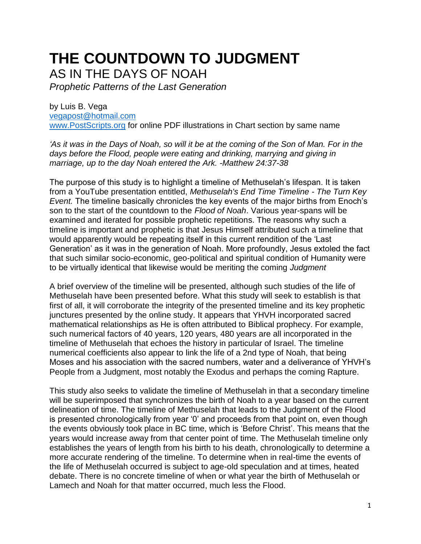# **THE COUNTDOWN TO JUDGMENT** AS IN THE DAYS OF NOAH

*Prophetic Patterns of the Last Generation*

by Luis B. Vega [vegapost@hotmail.com](mailto:vegapost@hotmail.com) [www.PostScripts.org](http://www.postscripts.org/) for online PDF illustrations in Chart section by same name

*'As it was in the Days of Noah, so will it be at the coming of the Son of Man. For in the days before the Flood, people were eating and drinking, marrying and giving in marriage, up to the day Noah entered the Ark. -Matthew 24:37-38*

The purpose of this study is to highlight a timeline of Methuselah's lifespan. It is taken from a YouTube presentation entitled, *Methuselah's End Time Timeline - The Turn Key Event.* The timeline basically chronicles the key events of the major births from Enoch's son to the start of the countdown to the *Flood of Noah*. Various year-spans will be examined and iterated for possible prophetic repetitions. The reasons why such a timeline is important and prophetic is that Jesus Himself attributed such a timeline that would apparently would be repeating itself in this current rendition of the 'Last Generation' as it was in the generation of Noah. More profoundly, Jesus extoled the fact that such similar socio-economic, geo-political and spiritual condition of Humanity were to be virtually identical that likewise would be meriting the coming *Judgment*

A brief overview of the timeline will be presented, although such studies of the life of Methuselah have been presented before. What this study will seek to establish is that first of all, it will corroborate the integrity of the presented timeline and its key prophetic junctures presented by the online study. It appears that YHVH incorporated sacred mathematical relationships as He is often attributed to Biblical prophecy. For example, such numerical factors of 40 years, 120 years, 480 years are all incorporated in the timeline of Methuselah that echoes the history in particular of Israel. The timeline numerical coefficients also appear to link the life of a 2nd type of Noah, that being Moses and his association with the sacred numbers, water and a deliverance of YHVH's People from a Judgment, most notably the Exodus and perhaps the coming Rapture.

This study also seeks to validate the timeline of Methuselah in that a secondary timeline will be superimposed that synchronizes the birth of Noah to a year based on the current delineation of time. The timeline of Methuselah that leads to the Judgment of the Flood is presented chronologically from year '0' and proceeds from that point on, even though the events obviously took place in BC time, which is 'Before Christ'. This means that the years would increase away from that center point of time. The Methuselah timeline only establishes the years of length from his birth to his death, chronologically to determine a more accurate rendering of the timeline. To determine when in real-time the events of the life of Methuselah occurred is subject to age-old speculation and at times, heated debate. There is no concrete timeline of when or what year the birth of Methuselah or Lamech and Noah for that matter occurred, much less the Flood.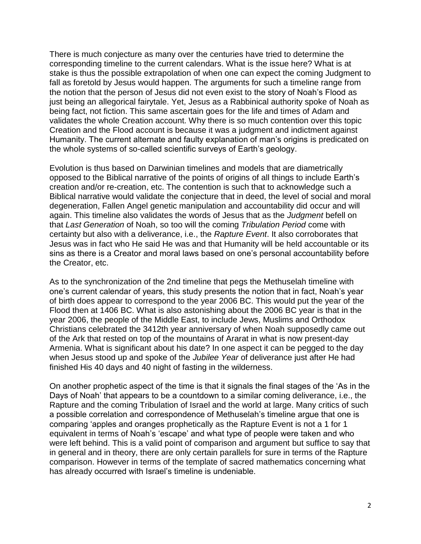There is much conjecture as many over the centuries have tried to determine the corresponding timeline to the current calendars. What is the issue here? What is at stake is thus the possible extrapolation of when one can expect the coming Judgment to fall as foretold by Jesus would happen. The arguments for such a timeline range from the notion that the person of Jesus did not even exist to the story of Noah's Flood as just being an allegorical fairytale. Yet, Jesus as a Rabbinical authority spoke of Noah as being fact, not fiction. This same ascertain goes for the life and times of Adam and validates the whole Creation account. Why there is so much contention over this topic Creation and the Flood account is because it was a judgment and indictment against Humanity. The current alternate and faulty explanation of man's origins is predicated on the whole systems of so-called scientific surveys of Earth's geology.

Evolution is thus based on Darwinian timelines and models that are diametrically opposed to the Biblical narrative of the points of origins of all things to include Earth's creation and/or re-creation, etc. The contention is such that to acknowledge such a Biblical narrative would validate the conjecture that in deed, the level of social and moral degeneration, Fallen Angel genetic manipulation and accountability did occur and will again. This timeline also validates the words of Jesus that as the *Judgment* befell on that *Last Generation* of Noah, so too will the coming *Tribulation Period* come with certainty but also with a deliverance, i.e., the *Rapture Event*. It also corroborates that Jesus was in fact who He said He was and that Humanity will be held accountable or its sins as there is a Creator and moral laws based on one's personal accountability before the Creator, etc.

As to the synchronization of the 2nd timeline that pegs the Methuselah timeline with one's current calendar of years, this study presents the notion that in fact, Noah's year of birth does appear to correspond to the year 2006 BC. This would put the year of the Flood then at 1406 BC. What is also astonishing about the 2006 BC year is that in the year 2006, the people of the Middle East, to include Jews, Muslims and Orthodox Christians celebrated the 3412th year anniversary of when Noah supposedly came out of the Ark that rested on top of the mountains of Ararat in what is now present-day Armenia. What is significant about his date? In one aspect it can be pegged to the day when Jesus stood up and spoke of the *Jubilee Year* of deliverance just after He had finished His 40 days and 40 night of fasting in the wilderness.

On another prophetic aspect of the time is that it signals the final stages of the 'As in the Days of Noah' that appears to be a countdown to a similar coming deliverance, i.e., the Rapture and the coming Tribulation of Israel and the world at large. Many critics of such a possible correlation and correspondence of Methuselah's timeline argue that one is comparing 'apples and oranges prophetically as the Rapture Event is not a 1 for 1 equivalent in terms of Noah's 'escape' and what type of people were taken and who were left behind. This is a valid point of comparison and argument but suffice to say that in general and in theory, there are only certain parallels for sure in terms of the Rapture comparison. However in terms of the template of sacred mathematics concerning what has already occurred with Israel's timeline is undeniable.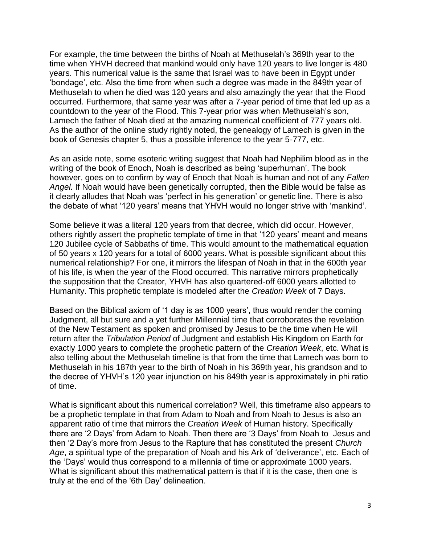For example, the time between the births of Noah at Methuselah's 369th year to the time when YHVH decreed that mankind would only have 120 years to live longer is 480 years. This numerical value is the same that Israel was to have been in Egypt under 'bondage', etc. Also the time from when such a degree was made in the 849th year of Methuselah to when he died was 120 years and also amazingly the year that the Flood occurred. Furthermore, that same year was after a 7-year period of time that led up as a countdown to the year of the Flood. This 7-year prior was when Methuselah's son, Lamech the father of Noah died at the amazing numerical coefficient of 777 years old. As the author of the online study rightly noted, the genealogy of Lamech is given in the book of Genesis chapter 5, thus a possible inference to the year 5-777, etc.

As an aside note, some esoteric writing suggest that Noah had Nephilim blood as in the writing of the book of Enoch, Noah is described as being 'superhuman'. The book however, goes on to confirm by way of Enoch that Noah is human and not of any *Fallen Angel.* If Noah would have been genetically corrupted, then the Bible would be false as it clearly alludes that Noah was 'perfect in his generation' or genetic line. There is also the debate of what '120 years' means that YHVH would no longer strive with 'mankind'.

Some believe it was a literal 120 years from that decree, which did occur. However, others rightly assert the prophetic template of time in that '120 years' meant and means 120 Jubilee cycle of Sabbaths of time. This would amount to the mathematical equation of 50 years x 120 years for a total of 6000 years. What is possible significant about this numerical relationship? For one, it mirrors the lifespan of Noah in that in the 600th year of his life, is when the year of the Flood occurred. This narrative mirrors prophetically the supposition that the Creator, YHVH has also quartered-off 6000 years allotted to Humanity. This prophetic template is modeled after the *Creation Week* of 7 Days.

Based on the Biblical axiom of '1 day is as 1000 years', thus would render the coming Judgment, all but sure and a yet further Millennial time that corroborates the revelation of the New Testament as spoken and promised by Jesus to be the time when He will return after the *Tribulation Period* of Judgment and establish His Kingdom on Earth for exactly 1000 years to complete the prophetic pattern of the *Creation Week*, etc. What is also telling about the Methuselah timeline is that from the time that Lamech was born to Methuselah in his 187th year to the birth of Noah in his 369th year, his grandson and to the decree of YHVH's 120 year injunction on his 849th year is approximately in phi ratio of time.

What is significant about this numerical correlation? Well, this timeframe also appears to be a prophetic template in that from Adam to Noah and from Noah to Jesus is also an apparent ratio of time that mirrors the *Creation Week* of Human history. Specifically there are '2 Days' from Adam to Noah. Then there are '3 Days' from Noah to Jesus and then '2 Day's more from Jesus to the Rapture that has constituted the present *Church Age*, a spiritual type of the preparation of Noah and his Ark of 'deliverance', etc. Each of the 'Days' would thus correspond to a millennia of time or approximate 1000 years. What is significant about this mathematical pattern is that if it is the case, then one is truly at the end of the '6th Day' delineation.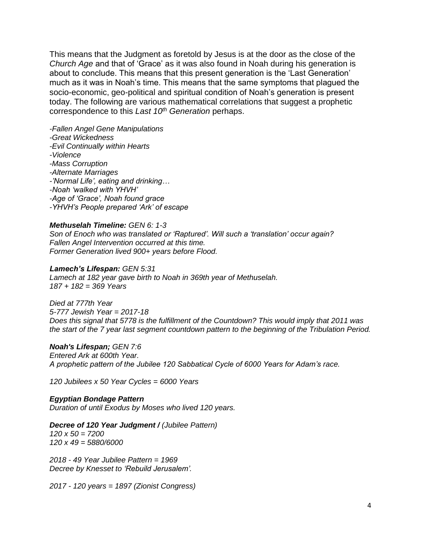This means that the Judgment as foretold by Jesus is at the door as the close of the *Church Age* and that of 'Grace' as it was also found in Noah during his generation is about to conclude. This means that this present generation is the 'Last Generation' much as it was in Noah's time. This means that the same symptoms that plagued the socio-economic, geo-political and spiritual condition of Noah's generation is present today. The following are various mathematical correlations that suggest a prophetic correspondence to this *Last 10th Generation* perhaps.

*-Fallen Angel Gene Manipulations -Great Wickedness -Evil Continually within Hearts -Violence -Mass Corruption -Alternate Marriages -'Normal Life', eating and drinking… -Noah 'walked with YHVH' -Age of 'Grace', Noah found grace -YHVH's People prepared 'Ark' of escape*

#### *Methuselah Timeline: GEN 6: 1-3*

*Son of Enoch who was translated or 'Raptured'. Will such a 'translation' occur again? Fallen Angel Intervention occurred at this time. Former Generation lived 900+ years before Flood.*

## *Lamech's Lifespan: GEN 5:31*

*Lamech at 182 year gave birth to Noah in 369th year of Methuselah. 187 + 182 = 369 Years* 

*Died at 777th Year 5-777 Jewish Year = 2017-18 Does this signal that 5778 is the fulfillment of the Countdown? This would imply that 2011 was the start of the 7 year last segment countdown pattern to the beginning of the Tribulation Period.*

#### *Noah's Lifespan; GEN 7:6*

*Entered Ark at 600th Year. A prophetic pattern of the Jubilee 120 Sabbatical Cycle of 6000 Years for Adam's race.* 

*120 Jubilees x 50 Year Cycles = 6000 Years*

#### *Egyptian Bondage Pattern*

*Duration of until Exodus by Moses who lived 120 years.*

*Decree of 120 Year Judgment / (Jubilee Pattern) 120 x 50 = 7200 120 x 49 = 5880/6000*

*2018 - 49 Year Jubilee Pattern = 1969 Decree by Knesset to 'Rebuild Jerusalem'.*

*2017 - 120 years = 1897 (Zionist Congress)*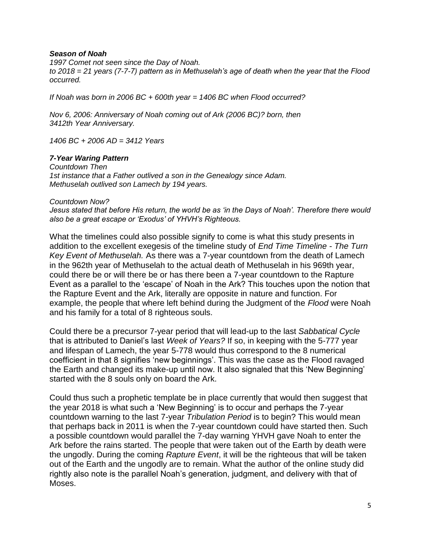## *Season of Noah*

*1997 Comet not seen since the Day of Noah. to 2018 = 21 years (7-7-7) pattern as in Methuselah's age of death when the year that the Flood occurred.* 

*If Noah was born in 2006 BC + 600th year = 1406 BC when Flood occurred?*

*Nov 6, 2006: Anniversary of Noah coming out of Ark (2006 BC)? born, then 3412th Year Anniversary.*

*1406 BC + 2006 AD = 3412 Years*

# *7-Year Waring Pattern*

*Countdown Then 1st instance that a Father outlived a son in the Genealogy since Adam. Methuselah outlived son Lamech by 194 years.*

# *Countdown Now?*

*Jesus stated that before His return, the world be as 'in the Days of Noah'. Therefore there would also be a great escape or 'Exodus' of YHVH's Righteous.* 

What the timelines could also possible signify to come is what this study presents in addition to the excellent exegesis of the timeline study of *End Time Timeline - The Turn Key Event of Methuselah.* As there was a 7-year countdown from the death of Lamech in the 962th year of Methuselah to the actual death of Methuselah in his 969th year, could there be or will there be or has there been a 7-year countdown to the Rapture Event as a parallel to the 'escape' of Noah in the Ark? This touches upon the notion that the Rapture Event and the Ark, literally are opposite in nature and function. For example, the people that where left behind during the Judgment of the *Flood* were Noah and his family for a total of 8 righteous souls.

Could there be a precursor 7-year period that will lead-up to the last *Sabbatical Cycle* that is attributed to Daniel's last *Week of Years?* If so, in keeping with the 5-777 year and lifespan of Lamech, the year 5-778 would thus correspond to the 8 numerical coefficient in that 8 signifies 'new beginnings'. This was the case as the Flood ravaged the Earth and changed its make-up until now. It also signaled that this 'New Beginning' started with the 8 souls only on board the Ark.

Could thus such a prophetic template be in place currently that would then suggest that the year 2018 is what such a 'New Beginning' is to occur and perhaps the 7-year countdown warning to the last 7-year *Tribulation Period* is to begin? This would mean that perhaps back in 2011 is when the 7-year countdown could have started then. Such a possible countdown would parallel the 7-day warning YHVH gave Noah to enter the Ark before the rains started. The people that were taken out of the Earth by death were the ungodly. During the coming *Rapture Event*, it will be the righteous that will be taken out of the Earth and the ungodly are to remain. What the author of the online study did rightly also note is the parallel Noah's generation, judgment, and delivery with that of Moses.